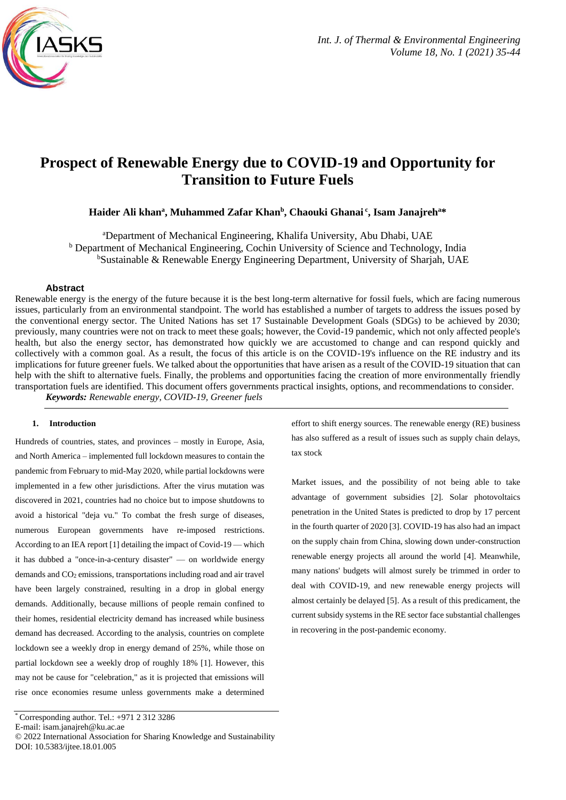

# **Prospect of Renewable Energy due to COVID-19 and Opportunity for Transition to Future Fuels**

**Haider Ali khan<sup>a</sup> , Muhammed Zafar Khan<sup>b</sup> , Chaouki Ghanai <sup>c</sup> , Isam Janajreh<sup>a</sup>\***

<sup>a</sup>Department of Mechanical Engineering, Khalifa University, Abu Dhabi, UAE <sup>b</sup> Department of Mechanical Engineering, Cochin University of Science and Technology, India <sup>b</sup>Sustainable & Renewable Energy Engineering Department, University of Sharjah, UAE

### **Abstract**

Renewable energy is the energy of the future because it is the best long-term alternative for fossil fuels, which are facing numerous issues, particularly from an environmental standpoint. The world has established a number of targets to address the issues posed by the conventional energy sector. The United Nations has set 17 Sustainable Development Goals (SDGs) to be achieved by 2030; previously, many countries were not on track to meet these goals; however, the Covid-19 pandemic, which not only affected people's health, but also the energy sector, has demonstrated how quickly we are accustomed to change and can respond quickly and collectively with a common goal. As a result, the focus of this article is on the COVID-19's influence on the RE industry and its implications for future greener fuels. We talked about the opportunities that have arisen as a result of the COVID-19 situation that can help with the shift to alternative fuels. Finally, the problems and opportunities facing the creation of more environmentally friendly transportation fuels are identified. This document offers governments practical insights, options, and recommendations to consider.

*Keywords: Renewable energy, COVID-19, Greener fuels*

# **1. Introduction**

Hundreds of countries, states, and provinces – mostly in Europe, Asia, and North America – implemented full lockdown measures to contain the pandemic from February to mid-May 2020, while partial lockdowns were implemented in a few other jurisdictions. After the virus mutation was discovered in 2021, countries had no choice but to impose shutdowns to avoid a historical "deja vu." To combat the fresh surge of diseases, numerous European governments have re-imposed restrictions. According to an IEA report [1] detailing the impact of Covid-19 — which it has dubbed a "once-in-a-century disaster" — on worldwide energy demands and CO<sup>2</sup> emissions, transportations including road and air travel have been largely constrained, resulting in a drop in global energy demands. Additionally, because millions of people remain confined to their homes, residential electricity demand has increased while business demand has decreased. According to the analysis, countries on complete lockdown see a weekly drop in energy demand of 25%, while those on partial lockdown see a weekly drop of roughly 18% [1]. However, this may not be cause for "celebration," as it is projected that emissions will rise once economies resume unless governments make a determined

E-mail: isam.janajreh@ku.ac.ae

effort to shift energy sources. The renewable energy (RE) business has also suffered as a result of issues such as supply chain delays, tax stock

Market issues, and the possibility of not being able to take advantage of government subsidies [2]. Solar photovoltaics penetration in the United States is predicted to drop by 17 percent in the fourth quarter of 2020 [3]. COVID-19 has also had an impact on the supply chain from China, slowing down under-construction renewable energy projects all around the world [4]. Meanwhile, many nations' budgets will almost surely be trimmed in order to deal with COVID-19, and new renewable energy projects will almost certainly be delayed [5]. As a result of this predicament, the current subsidy systems in the RE sector face substantial challenges in recovering in the post-pandemic economy.

 $*$  Corresponding author. Tel.:  $+971$  2 312 3286

<sup>© 2022</sup> International Association for Sharing Knowledge and Sustainability DOI: 10.5383/ijtee.18.01.005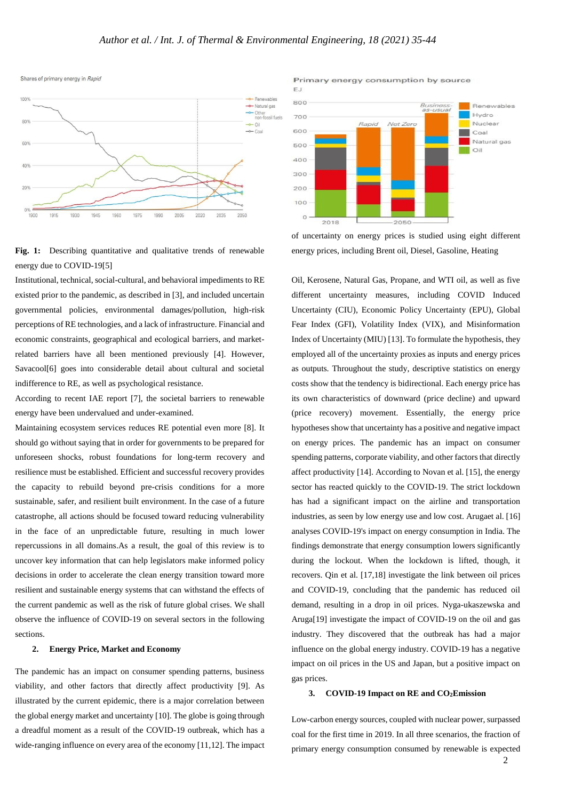EJ



**Fig. 1:** Describing quantitative and qualitative trends of renewable energy due to COVID-19[5]

Institutional, technical, social-cultural, and behavioral impediments to RE existed prior to the pandemic, as described in [3], and included uncertain governmental policies, environmental damages/pollution, high-risk perceptions of RE technologies, and a lack of infrastructure. Financial and economic constraints, geographical and ecological barriers, and marketrelated barriers have all been mentioned previously [4]. However, Savacool[6] goes into considerable detail about cultural and societal indifference to RE, as well as psychological resistance.

According to recent IAE report [7], the societal barriers to renewable energy have been undervalued and under-examined.

Maintaining ecosystem services reduces RE potential even more [8]. It should go without saying that in order for governments to be prepared for unforeseen shocks, robust foundations for long-term recovery and resilience must be established. Efficient and successful recovery provides the capacity to rebuild beyond pre-crisis conditions for a more sustainable, safer, and resilient built environment. In the case of a future catastrophe, all actions should be focused toward reducing vulnerability in the face of an unpredictable future, resulting in much lower repercussions in all domains.As a result, the goal of this review is to uncover key information that can help legislators make informed policy decisions in order to accelerate the clean energy transition toward more resilient and sustainable energy systems that can withstand the effects of the current pandemic as well as the risk of future global crises. We shall observe the influence of COVID-19 on several sectors in the following sections.

### **2. Energy Price, Market and Economy**

The pandemic has an impact on consumer spending patterns, business viability, and other factors that directly affect productivity [9]. As illustrated by the current epidemic, there is a major correlation between the global energy market and uncertainty [10]. The globe is going through a dreadful moment as a result of the COVID-19 outbreak, which has a wide-ranging influence on every area of the economy [11,12]. The impact



Primary energy consumption by source

of uncertainty on energy prices is studied using eight different energy prices, including Brent oil, Diesel, Gasoline, Heating

Oil, Kerosene, Natural Gas, Propane, and WTI oil, as well as five different uncertainty measures, including COVID Induced Uncertainty (CIU), Economic Policy Uncertainty (EPU), Global Fear Index (GFI), Volatility Index (VIX), and Misinformation Index of Uncertainty (MIU) [13]. To formulate the hypothesis, they employed all of the uncertainty proxies as inputs and energy prices as outputs. Throughout the study, descriptive statistics on energy costs show that the tendency is bidirectional. Each energy price has its own characteristics of downward (price decline) and upward (price recovery) movement. Essentially, the energy price hypotheses show that uncertainty has a positive and negative impact on energy prices. The pandemic has an impact on consumer spending patterns, corporate viability, and other factors that directly affect productivity [14]. According to Novan et al. [15], the energy sector has reacted quickly to the COVID-19. The strict lockdown has had a significant impact on the airline and transportation industries, as seen by low energy use and low cost. Arugaet al. [16] analyses COVID-19's impact on energy consumption in India. The findings demonstrate that energy consumption lowers significantly during the lockout. When the lockdown is lifted, though, it recovers. Qin et al. [17,18] investigate the link between oil prices and COVID-19, concluding that the pandemic has reduced oil demand, resulting in a drop in oil prices. Nyga-ukaszewska and Aruga[19] investigate the impact of COVID-19 on the oil and gas industry. They discovered that the outbreak has had a major influence on the global energy industry. COVID-19 has a negative impact on oil prices in the US and Japan, but a positive impact on gas prices.

#### **3. COVID-19 Impact on RE and CO2Emission**

Low-carbon energy sources, coupled with nuclear power, surpassed coal for the first time in 2019. In all three scenarios, the fraction of primary energy consumption consumed by renewable is expected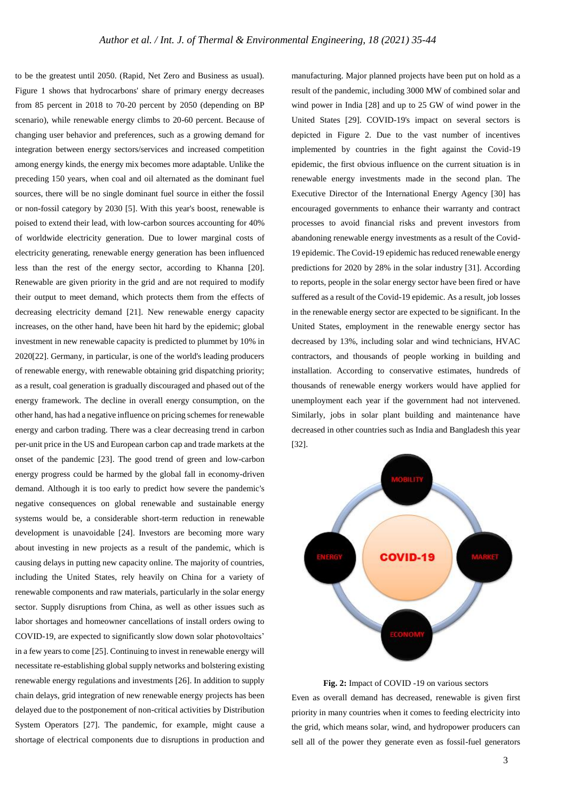to be the greatest until 2050. (Rapid, Net Zero and Business as usual). Figure 1 shows that hydrocarbons' share of primary energy decreases from 85 percent in 2018 to 70-20 percent by 2050 (depending on BP scenario), while renewable energy climbs to 20-60 percent. Because of changing user behavior and preferences, such as a growing demand for integration between energy sectors/services and increased competition among energy kinds, the energy mix becomes more adaptable. Unlike the preceding 150 years, when coal and oil alternated as the dominant fuel sources, there will be no single dominant fuel source in either the fossil or non-fossil category by 2030 [5]. With this year's boost, renewable is poised to extend their lead, with low-carbon sources accounting for 40% of worldwide electricity generation. Due to lower marginal costs of electricity generating, renewable energy generation has been influenced less than the rest of the energy sector, according to Khanna [20]. Renewable are given priority in the grid and are not required to modify their output to meet demand, which protects them from the effects of decreasing electricity demand [21]. New renewable energy capacity increases, on the other hand, have been hit hard by the epidemic; global investment in new renewable capacity is predicted to plummet by 10% in 2020[22]. Germany, in particular, is one of the world's leading producers of renewable energy, with renewable obtaining grid dispatching priority; as a result, coal generation is gradually discouraged and phased out of the energy framework. The decline in overall energy consumption, on the other hand, has had a negative influence on pricing schemes for renewable energy and carbon trading. There was a clear decreasing trend in carbon per-unit price in the US and European carbon cap and trade markets at the onset of the pandemic [23]. The good trend of green and low-carbon energy progress could be harmed by the global fall in economy-driven demand. Although it is too early to predict how severe the pandemic's negative consequences on global renewable and sustainable energy systems would be, a considerable short-term reduction in renewable development is unavoidable [24]. Investors are becoming more wary about investing in new projects as a result of the pandemic, which is causing delays in putting new capacity online. The majority of countries, including the United States, rely heavily on China for a variety of renewable components and raw materials, particularly in the solar energy sector. Supply disruptions from China, as well as other issues such as labor shortages and homeowner cancellations of install orders owing to COVID-19, are expected to significantly slow down solar photovoltaics' in a few years to come [25]. Continuing to invest in renewable energy will necessitate re-establishing global supply networks and bolstering existing renewable energy regulations and investments [26]. In addition to supply chain delays, grid integration of new renewable energy projects has been delayed due to the postponement of non-critical activities by Distribution System Operators [27]. The pandemic, for example, might cause a shortage of electrical components due to disruptions in production and

manufacturing. Major planned projects have been put on hold as a result of the pandemic, including 3000 MW of combined solar and wind power in India [28] and up to 25 GW of wind power in the United States [29]. COVID-19's impact on several sectors is depicted in Figure 2. Due to the vast number of incentives implemented by countries in the fight against the Covid-19 epidemic, the first obvious influence on the current situation is in renewable energy investments made in the second plan. The Executive Director of the International Energy Agency [30] has encouraged governments to enhance their warranty and contract processes to avoid financial risks and prevent investors from abandoning renewable energy investments as a result of the Covid-19 epidemic. The Covid-19 epidemic has reduced renewable energy predictions for 2020 by 28% in the solar industry [31]. According to reports, people in the solar energy sector have been fired or have suffered as a result of the Covid-19 epidemic. As a result, job losses in the renewable energy sector are expected to be significant. In the United States, employment in the renewable energy sector has decreased by 13%, including solar and wind technicians, HVAC contractors, and thousands of people working in building and installation. According to conservative estimates, hundreds of thousands of renewable energy workers would have applied for unemployment each year if the government had not intervened. Similarly, jobs in solar plant building and maintenance have decreased in other countries such as India and Bangladesh this year [32].



**Fig. 2:** Impact of COVID -19 on various sectors Even as overall demand has decreased, renewable is given first priority in many countries when it comes to feeding electricity into the grid, which means solar, wind, and hydropower producers can sell all of the power they generate even as fossil-fuel generators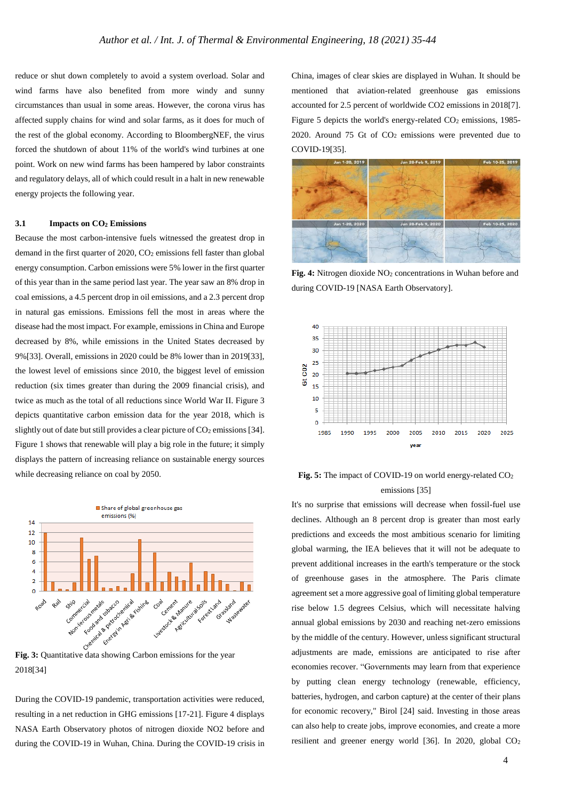reduce or shut down completely to avoid a system overload. Solar and wind farms have also benefited from more windy and sunny circumstances than usual in some areas. However, the corona virus has affected supply chains for wind and solar farms, as it does for much of the rest of the global economy. According to BloombergNEF, the virus forced the shutdown of about 11% of the world's wind turbines at one point. Work on new wind farms has been hampered by labor constraints and regulatory delays, all of which could result in a halt in new renewable energy projects the following year.

## **3.1 Impacts on CO<sup>2</sup> Emissions**

Because the most carbon-intensive fuels witnessed the greatest drop in demand in the first quarter of 2020, CO<sub>2</sub> emissions fell faster than global energy consumption. Carbon emissions were 5% lower in the first quarter of this year than in the same period last year. The year saw an 8% drop in coal emissions, a 4.5 percent drop in oil emissions, and a 2.3 percent drop in natural gas emissions. Emissions fell the most in areas where the disease had the most impact. For example, emissions in China and Europe decreased by 8%, while emissions in the United States decreased by 9%[33]. Overall, emissions in 2020 could be 8% lower than in 2019[33], the lowest level of emissions since 2010, the biggest level of emission reduction (six times greater than during the 2009 financial crisis), and twice as much as the total of all reductions since World War II. Figure 3 depicts quantitative carbon emission data for the year 2018, which is slightly out of date but still provides a clear picture of  $CO<sub>2</sub>$  emissions [34]. Figure 1 shows that renewable will play a big role in the future; it simply displays the pattern of increasing reliance on sustainable energy sources while decreasing reliance on coal by 2050.



2018[34]

During the COVID-19 pandemic, transportation activities were reduced, resulting in a net reduction in GHG emissions [17-21]. Figure 4 displays NASA Earth Observatory photos of nitrogen dioxide NO2 before and during the COVID-19 in Wuhan, China. During the COVID-19 crisis in

China, images of clear skies are displayed in Wuhan. It should be mentioned that aviation-related greenhouse gas emissions accounted for 2.5 percent of worldwide CO2 emissions in 2018[7]. Figure 5 depicts the world's energy-related CO<sub>2</sub> emissions, 1985-2020. Around 75 Gt of  $CO<sub>2</sub>$  emissions were prevented due to COVID-19[35].



Fig. 4: Nitrogen dioxide NO<sub>2</sub> concentrations in Wuhan before and during COVID-19 [NASA Earth Observatory].



**Fig. 5:** The impact of COVID-19 on world energy-related CO<sup>2</sup> emissions [35]

It's no surprise that emissions will decrease when fossil-fuel use declines. Although an 8 percent drop is greater than most early predictions and exceeds the most ambitious scenario for limiting global warming, the IEA believes that it will not be adequate to prevent additional increases in the earth's temperature or the stock of greenhouse gases in the atmosphere. The Paris climate agreement set a more aggressive goal of limiting global temperature rise below 1.5 degrees Celsius, which will necessitate halving annual global emissions by 2030 and reaching net-zero emissions by the middle of the century. However, unless significant structural adjustments are made, emissions are anticipated to rise after economies recover. "Governments may learn from that experience by putting clean energy technology (renewable, efficiency, batteries, hydrogen, and carbon capture) at the center of their plans for economic recovery," Birol [24] said. Investing in those areas can also help to create jobs, improve economies, and create a more resilient and greener energy world [36]. In 2020, global CO2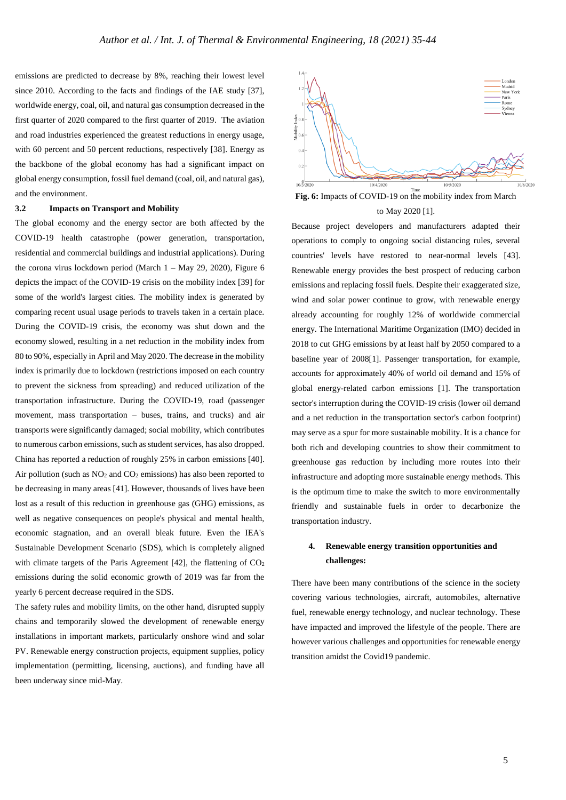emissions are predicted to decrease by 8%, reaching their lowest level since 2010. According to the facts and findings of the IAE study [37], worldwide energy, coal, oil, and natural gas consumption decreased in the first quarter of 2020 compared to the first quarter of 2019. The aviation and road industries experienced the greatest reductions in energy usage, with 60 percent and 50 percent reductions, respectively [38]. Energy as the backbone of the global economy has had a significant impact on global energy consumption, fossil fuel demand (coal, oil, and natural gas), and the environment.

### **3.2 Impacts on Transport and Mobility**

The global economy and the energy sector are both affected by the COVID-19 health catastrophe (power generation, transportation, residential and commercial buildings and industrial applications). During the corona virus lockdown period (March 1 – May 29, 2020), Figure 6 depicts the impact of the COVID-19 crisis on the mobility index [39] for some of the world's largest cities. The mobility index is generated by comparing recent usual usage periods to travels taken in a certain place. During the COVID-19 crisis, the economy was shut down and the economy slowed, resulting in a net reduction in the mobility index from 80 to 90%, especially in April and May 2020. The decrease in the mobility index is primarily due to lockdown (restrictions imposed on each country to prevent the sickness from spreading) and reduced utilization of the transportation infrastructure. During the COVID-19, road (passenger movement, mass transportation – buses, trains, and trucks) and air transports were significantly damaged; social mobility, which contributes to numerous carbon emissions, such as student services, has also dropped. China has reported a reduction of roughly 25% in carbon emissions [40]. Air pollution (such as  $NO<sub>2</sub>$  and  $CO<sub>2</sub>$  emissions) has also been reported to be decreasing in many areas [41]. However, thousands of lives have been lost as a result of this reduction in greenhouse gas (GHG) emissions, as well as negative consequences on people's physical and mental health, economic stagnation, and an overall bleak future. Even the IEA's Sustainable Development Scenario (SDS), which is completely aligned with climate targets of the Paris Agreement  $[42]$ , the flattening of  $CO<sub>2</sub>$ emissions during the solid economic growth of 2019 was far from the yearly 6 percent decrease required in the SDS.

The safety rules and mobility limits, on the other hand, disrupted supply chains and temporarily slowed the development of renewable energy installations in important markets, particularly onshore wind and solar PV. Renewable energy construction projects, equipment supplies, policy implementation (permitting, licensing, auctions), and funding have all been underway since mid-May.



**Fig. 6:** Impacts of COVID-19 on the mobility index from March to May 2020 [1].

Because project developers and manufacturers adapted their operations to comply to ongoing social distancing rules, several countries' levels have restored to near-normal levels [43]. Renewable energy provides the best prospect of reducing carbon emissions and replacing fossil fuels. Despite their exaggerated size, wind and solar power continue to grow, with renewable energy already accounting for roughly 12% of worldwide commercial energy. The International Maritime Organization (IMO) decided in 2018 to cut GHG emissions by at least half by 2050 compared to a baseline year of 2008[1]. Passenger transportation, for example, accounts for approximately 40% of world oil demand and 15% of global energy-related carbon emissions [1]. The transportation sector's interruption during the COVID-19 crisis (lower oil demand and a net reduction in the transportation sector's carbon footprint) may serve as a spur for more sustainable mobility. It is a chance for both rich and developing countries to show their commitment to greenhouse gas reduction by including more routes into their infrastructure and adopting more sustainable energy methods. This is the optimum time to make the switch to more environmentally friendly and sustainable fuels in order to decarbonize the transportation industry.

# **4. Renewable energy transition opportunities and challenges:**

There have been many contributions of the science in the society covering various technologies, aircraft, automobiles, alternative fuel, renewable energy technology, and nuclear technology. These have impacted and improved the lifestyle of the people. There are however various challenges and opportunities for renewable energy transition amidst the Covid19 pandemic.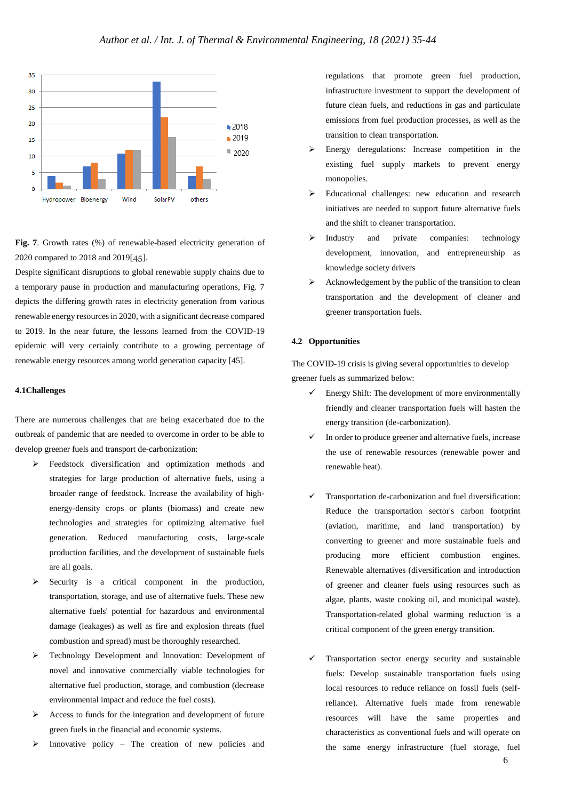

**Fig. 7**. Growth rates (%) of renewable-based electricity generation of 2020 compared to 2018 and 2019[45].

Despite significant disruptions to global renewable supply chains due to a temporary pause in production and manufacturing operations, Fig. 7 depicts the differing growth rates in electricity generation from various renewable energy resources in 2020, with a significant decrease compared to 2019. In the near future, the lessons learned from the COVID-19 epidemic will very certainly contribute to a growing percentage of renewable energy resources among world generation capacity [45].

### **4.1Challenges**

There are numerous challenges that are being exacerbated due to the outbreak of pandemic that are needed to overcome in order to be able to develop greener fuels and transport de-carbonization:

- Feedstock diversification and optimization methods and strategies for large production of alternative fuels, using a broader range of feedstock. Increase the availability of highenergy-density crops or plants (biomass) and create new technologies and strategies for optimizing alternative fuel generation. Reduced manufacturing costs, large-scale production facilities, and the development of sustainable fuels are all goals.
- $\triangleright$  Security is a critical component in the production, transportation, storage, and use of alternative fuels. These new alternative fuels' potential for hazardous and environmental damage (leakages) as well as fire and explosion threats (fuel combustion and spread) must be thoroughly researched.
- Technology Development and Innovation: Development of novel and innovative commercially viable technologies for alternative fuel production, storage, and combustion (decrease environmental impact and reduce the fuel costs).
- Access to funds for the integration and development of future green fuels in the financial and economic systems.
- Innovative policy The creation of new policies and

regulations that promote green fuel production, infrastructure investment to support the development of future clean fuels, and reductions in gas and particulate emissions from fuel production processes, as well as the transition to clean transportation.

- Energy deregulations: Increase competition in the existing fuel supply markets to prevent energy monopolies.
- Educational challenges: new education and research initiatives are needed to support future alternative fuels and the shift to cleaner transportation.
- > Industry and private companies: technology development, innovation, and entrepreneurship as knowledge society drivers
- $\triangleright$  Acknowledgement by the public of the transition to clean transportation and the development of cleaner and greener transportation fuels.

## **4.2 Opportunities**

The COVID-19 crisis is giving several opportunities to develop greener fuels as summarized below:

- $\checkmark$  Energy Shift: The development of more environmentally friendly and cleaner transportation fuels will hasten the energy transition (de-carbonization).
- In order to produce greener and alternative fuels, increase the use of renewable resources (renewable power and renewable heat).
- Transportation de-carbonization and fuel diversification: Reduce the transportation sector's carbon footprint (aviation, maritime, and land transportation) by converting to greener and more sustainable fuels and producing more efficient combustion engines. Renewable alternatives (diversification and introduction of greener and cleaner fuels using resources such as algae, plants, waste cooking oil, and municipal waste). Transportation-related global warming reduction is a critical component of the green energy transition.
- Transportation sector energy security and sustainable fuels: Develop sustainable transportation fuels using local resources to reduce reliance on fossil fuels (selfreliance). Alternative fuels made from renewable resources will have the same properties and characteristics as conventional fuels and will operate on the same energy infrastructure (fuel storage, fuel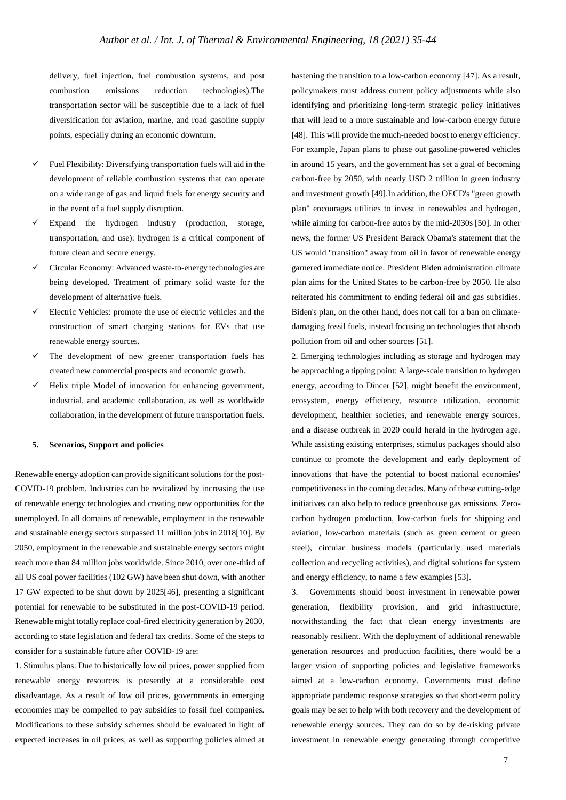delivery, fuel injection, fuel combustion systems, and post combustion emissions reduction technologies).The transportation sector will be susceptible due to a lack of fuel diversification for aviation, marine, and road gasoline supply points, especially during an economic downturn.

- Fuel Flexibility: Diversifying transportation fuels will aid in the development of reliable combustion systems that can operate on a wide range of gas and liquid fuels for energy security and in the event of a fuel supply disruption.
- Expand the hydrogen industry (production, storage, transportation, and use): hydrogen is a critical component of future clean and secure energy.
- Circular Economy: Advanced waste-to-energy technologies are being developed. Treatment of primary solid waste for the development of alternative fuels.
- Electric Vehicles: promote the use of electric vehicles and the construction of smart charging stations for EVs that use renewable energy sources.
- The development of new greener transportation fuels has created new commercial prospects and economic growth.
- Helix triple Model of innovation for enhancing government, industrial, and academic collaboration, as well as worldwide collaboration, in the development of future transportation fuels.

### **5. Scenarios, Support and policies**

Renewable energy adoption can provide significant solutions for the post-COVID-19 problem. Industries can be revitalized by increasing the use of renewable energy technologies and creating new opportunities for the unemployed. In all domains of renewable, employment in the renewable and sustainable energy sectors surpassed 11 million jobs in 2018[10]. By 2050, employment in the renewable and sustainable energy sectors might reach more than 84 million jobs worldwide. Since 2010, over one-third of all US coal power facilities (102 GW) have been shut down, with another 17 GW expected to be shut down by 2025[46], presenting a significant potential for renewable to be substituted in the post-COVID-19 period. Renewable might totally replace coal-fired electricity generation by 2030, according to state legislation and federal tax credits. Some of the steps to consider for a sustainable future after COVID-19 are:

1. Stimulus plans: Due to historically low oil prices, power supplied from renewable energy resources is presently at a considerable cost disadvantage. As a result of low oil prices, governments in emerging economies may be compelled to pay subsidies to fossil fuel companies. Modifications to these subsidy schemes should be evaluated in light of expected increases in oil prices, as well as supporting policies aimed at

hastening the transition to a low-carbon economy [47]. As a result, policymakers must address current policy adjustments while also identifying and prioritizing long-term strategic policy initiatives that will lead to a more sustainable and low-carbon energy future [48]. This will provide the much-needed boost to energy efficiency. For example, Japan plans to phase out gasoline-powered vehicles in around 15 years, and the government has set a goal of becoming carbon-free by 2050, with nearly USD 2 trillion in green industry and investment growth [49].In addition, the OECD's "green growth plan" encourages utilities to invest in renewables and hydrogen, while aiming for carbon-free autos by the mid-2030s [50]. In other news, the former US President Barack Obama's statement that the US would "transition" away from oil in favor of renewable energy garnered immediate notice. President Biden administration climate plan aims for the United States to be carbon-free by 2050. He also reiterated his commitment to ending federal oil and gas subsidies. Biden's plan, on the other hand, does not call for a ban on climatedamaging fossil fuels, instead focusing on technologies that absorb pollution from oil and other sources [51].

2. Emerging technologies including as storage and hydrogen may be approaching a tipping point: A large-scale transition to hydrogen energy, according to Dincer [52], might benefit the environment, ecosystem, energy efficiency, resource utilization, economic development, healthier societies, and renewable energy sources, and a disease outbreak in 2020 could herald in the hydrogen age. While assisting existing enterprises, stimulus packages should also continue to promote the development and early deployment of innovations that have the potential to boost national economies' competitiveness in the coming decades. Many of these cutting-edge initiatives can also help to reduce greenhouse gas emissions. Zerocarbon hydrogen production, low-carbon fuels for shipping and aviation, low-carbon materials (such as green cement or green steel), circular business models (particularly used materials collection and recycling activities), and digital solutions for system and energy efficiency, to name a few examples [53].

3. Governments should boost investment in renewable power generation, flexibility provision, and grid infrastructure, notwithstanding the fact that clean energy investments are reasonably resilient. With the deployment of additional renewable generation resources and production facilities, there would be a larger vision of supporting policies and legislative frameworks aimed at a low-carbon economy. Governments must define appropriate pandemic response strategies so that short-term policy goals may be set to help with both recovery and the development of renewable energy sources. They can do so by de-risking private investment in renewable energy generating through competitive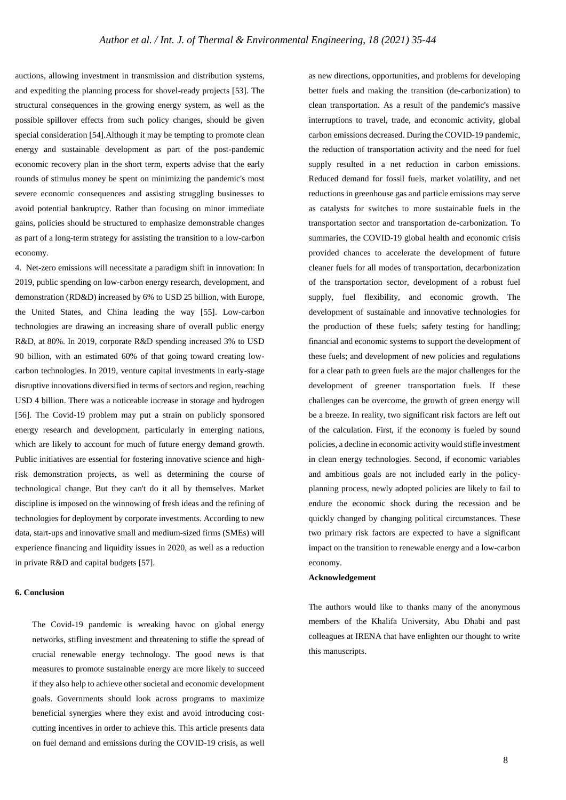auctions, allowing investment in transmission and distribution systems, and expediting the planning process for shovel-ready projects [53]. The structural consequences in the growing energy system, as well as the possible spillover effects from such policy changes, should be given special consideration [54].Although it may be tempting to promote clean energy and sustainable development as part of the post-pandemic economic recovery plan in the short term, experts advise that the early rounds of stimulus money be spent on minimizing the pandemic's most severe economic consequences and assisting struggling businesses to avoid potential bankruptcy. Rather than focusing on minor immediate gains, policies should be structured to emphasize demonstrable changes as part of a long-term strategy for assisting the transition to a low-carbon economy.

4. Net-zero emissions will necessitate a paradigm shift in innovation: In 2019, public spending on low-carbon energy research, development, and demonstration (RD&D) increased by 6% to USD 25 billion, with Europe, the United States, and China leading the way [55]. Low-carbon technologies are drawing an increasing share of overall public energy R&D, at 80%. In 2019, corporate R&D spending increased 3% to USD 90 billion, with an estimated 60% of that going toward creating lowcarbon technologies. In 2019, venture capital investments in early-stage disruptive innovations diversified in terms of sectors and region, reaching USD 4 billion. There was a noticeable increase in storage and hydrogen [56]. The Covid-19 problem may put a strain on publicly sponsored energy research and development, particularly in emerging nations, which are likely to account for much of future energy demand growth. Public initiatives are essential for fostering innovative science and highrisk demonstration projects, as well as determining the course of technological change. But they can't do it all by themselves. Market discipline is imposed on the winnowing of fresh ideas and the refining of technologies for deployment by corporate investments. According to new data, start-ups and innovative small and medium-sized firms (SMEs) will experience financing and liquidity issues in 2020, as well as a reduction in private R&D and capital budgets [57].

# **6. Conclusion**

The Covid-19 pandemic is wreaking havoc on global energy networks, stifling investment and threatening to stifle the spread of crucial renewable energy technology. The good news is that measures to promote sustainable energy are more likely to succeed if they also help to achieve other societal and economic development goals. Governments should look across programs to maximize beneficial synergies where they exist and avoid introducing costcutting incentives in order to achieve this. This article presents data on fuel demand and emissions during the COVID-19 crisis, as well

as new directions, opportunities, and problems for developing better fuels and making the transition (de-carbonization) to clean transportation. As a result of the pandemic's massive interruptions to travel, trade, and economic activity, global carbon emissions decreased. During the COVID-19 pandemic, the reduction of transportation activity and the need for fuel supply resulted in a net reduction in carbon emissions. Reduced demand for fossil fuels, market volatility, and net reductions in greenhouse gas and particle emissions may serve as catalysts for switches to more sustainable fuels in the transportation sector and transportation de-carbonization. To summaries, the COVID-19 global health and economic crisis provided chances to accelerate the development of future cleaner fuels for all modes of transportation, decarbonization of the transportation sector, development of a robust fuel supply, fuel flexibility, and economic growth. The development of sustainable and innovative technologies for the production of these fuels; safety testing for handling; financial and economic systems to support the development of these fuels; and development of new policies and regulations for a clear path to green fuels are the major challenges for the development of greener transportation fuels. If these challenges can be overcome, the growth of green energy will be a breeze. In reality, two significant risk factors are left out of the calculation. First, if the economy is fueled by sound policies, a decline in economic activity would stifle investment in clean energy technologies. Second, if economic variables and ambitious goals are not included early in the policyplanning process, newly adopted policies are likely to fail to endure the economic shock during the recession and be quickly changed by changing political circumstances. These two primary risk factors are expected to have a significant impact on the transition to renewable energy and a low-carbon economy.

## **Acknowledgement**

The authors would like to thanks many of the anonymous members of the Khalifa University, Abu Dhabi and past colleagues at IRENA that have enlighten our thought to write this manuscripts.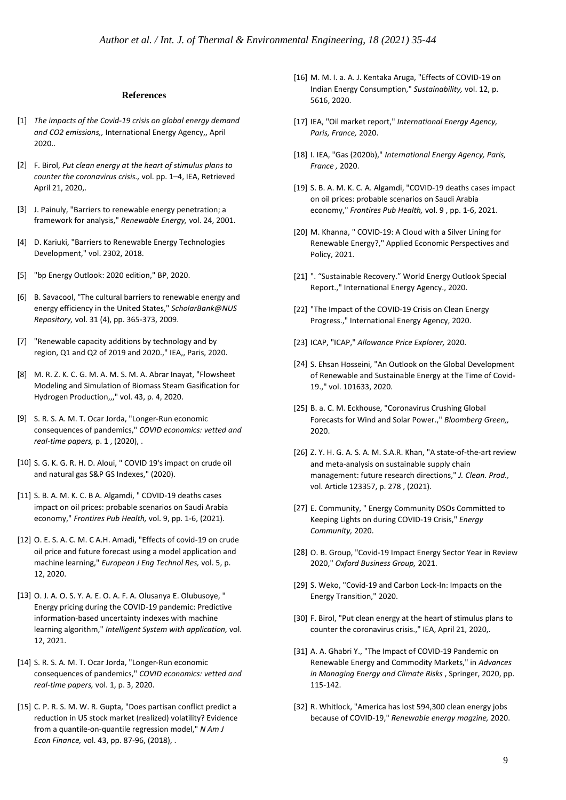### **References**

- [1] *The impacts of the Covid-19 crisis on global energy demand and CO2 emissions,,* International Energy Agency,, April 2020..
- [2] F. Birol, *Put clean energy at the heart of stimulus plans to counter the coronavirus crisis.,* vol. pp. 1–4, IEA, Retrieved April 21, 2020,.
- [3] J. Painuly, "Barriers to renewable energy penetration; a framework for analysis," *Renewable Energy,* vol. 24, 2001.
- [4] D. Kariuki, "Barriers to Renewable Energy Technologies Development," vol. 2302, 2018.
- [5] "bp Energy Outlook: 2020 edition," BP, 2020.
- [6] B. Savacool, "The cultural barriers to renewable energy and energy efficiency in the United States," *ScholarBank@NUS Repository,* vol. 31 (4), pp. 365-373, 2009.
- [7] "Renewable capacity additions by technology and by region, Q1 and Q2 of 2019 and 2020.," IEA,, Paris, 2020.
- [8] M. R. Z. K. C. G. M. A. M. S. M. A. Abrar Inayat, "Flowsheet Modeling and Simulation of Biomass Steam Gasification for Hydrogen Production,,," vol. 43, p. 4, 2020.
- [9] S. R. S. A. M. T. Ocar Jorda, "Longer-Run economic consequences of pandemics," *COVID economics: vetted and real-time papers,* p. 1 , (2020), .
- [10] S. G. K. G. R. H. D. Aloui, " COVID 19's impact on crude oil and natural gas S&P GS Indexes," (2020).
- [11] S. B. A. M. K. C. B A. Algamdi, " COVID-19 deaths cases impact on oil prices: probable scenarios on Saudi Arabia economy," *Frontires Pub Health,* vol. 9, pp. 1-6, (2021).
- [12] O. E. S. A. C. M. C A.H. Amadi, "Effects of covid-19 on crude oil price and future forecast using a model application and machine learning," *European J Eng Technol Res,* vol. 5, p. 12, 2020.
- [13] O. J. A. O. S. Y. A. E. O. A. F. A. Olusanya E. Olubusoye, " Energy pricing during the COVID-19 pandemic: Predictive information-based uncertainty indexes with machine learning algorithm," *Intelligent System with application,* vol. 12, 2021.
- [14] S. R. S. A. M. T. Ocar Jorda, "Longer-Run economic consequences of pandemics," *COVID economics: vetted and real-time papers,* vol. 1, p. 3, 2020.
- [15] C. P. R. S. M. W. R. Gupta, "Does partisan conflict predict a reduction in US stock market (realized) volatility? Evidence from a quantile-on-quantile regression model," *N Am J Econ Finance,* vol. 43, pp. 87-96, (2018), .
- [16] M. M. I. a. A. J. Kentaka Aruga, "Effects of COVID-19 on Indian Energy Consumption," *Sustainability,* vol. 12, p. 5616, 2020.
- [17] IEA, "Oil market report," *International Energy Agency, Paris, France,* 2020.
- [18] I. IEA, "Gas (2020b)," *International Energy Agency, Paris, France ,* 2020.
- [19] S. B. A. M. K. C. A. Algamdi, "COVID-19 deaths cases impact on oil prices: probable scenarios on Saudi Arabia economy," *Frontires Pub Health,* vol. 9 , pp. 1-6, 2021.
- [20] M. Khanna, " COVID-19: A Cloud with a Silver Lining for Renewable Energy?," Applied Economic Perspectives and Policy, 2021.
- [21] ". "Sustainable Recovery." World Energy Outlook Special Report.," International Energy Agency., 2020.
- [22] "The Impact of the COVID-19 Crisis on Clean Energy Progress.," International Energy Agency, 2020.
- [23] ICAP, "ICAP," *Allowance Price Explorer,* 2020.
- [24] S. Ehsan Hosseini, "An Outlook on the Global Development of Renewable and Sustainable Energy at the Time of Covid-19.," vol. 101633, 2020.
- [25] B. a. C. M. Eckhouse, "Coronavirus Crushing Global Forecasts for Wind and Solar Power.," *Bloomberg Green,,*  2020.
- [26] Z. Y. H. G. A. S. A. M. S.A.R. Khan, "A state-of-the-art review and meta-analysis on sustainable supply chain management: future research directions," *J. Clean. Prod.,*  vol. Article 123357, p. 278 , (2021).
- [27] E. Community, " Energy Community DSOs Committed to Keeping Lights on during COVID-19 Crisis," *Energy Community,* 2020.
- [28] O. B. Group, "Covid-19 Impact Energy Sector Year in Review 2020," *Oxford Business Group,* 2021.
- [29] S. Weko, "Covid-19 and Carbon Lock-In: Impacts on the Energy Transition," 2020.
- [30] F. Birol, "Put clean energy at the heart of stimulus plans to counter the coronavirus crisis.," IEA, April 21, 2020,.
- [31] A. A. Ghabri Y., "The Impact of COVID-19 Pandemic on Renewable Energy and Commodity Markets," in *Advances in Managing Energy and Climate Risks* , Springer, 2020, pp. 115-142.
- [32] R. Whitlock, "America has lost 594,300 clean energy jobs because of COVID-19," *Renewable energy magzine,* 2020.